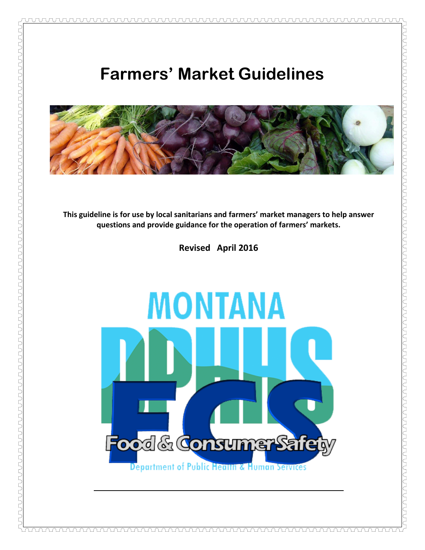# **Farmers' Market Guidelines**



**This guideline is for use by local sanitarians and farmers' market managers to help answer questions and provide guidance for the operation of farmers' markets.**

**Revised April 2016**

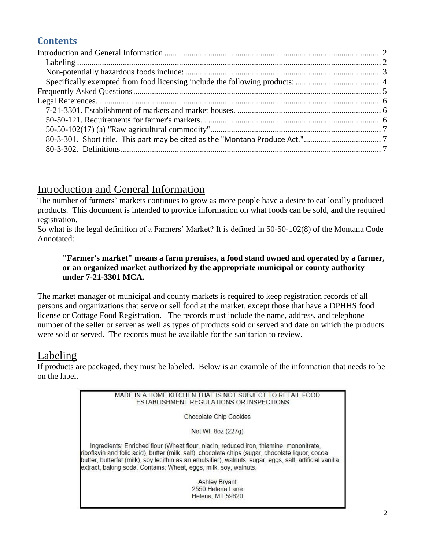# **Contents**

# <span id="page-1-0"></span>Introduction and General Information

The number of farmers' markets continues to grow as more people have a desire to eat locally produced products. This document is intended to provide information on what foods can be sold, and the required registration.

So what is the legal definition of a Farmers' Market? It is defined in 50-50-102(8) of the Montana Code Annotated:

#### **"Farmer's market" means a farm premises, a food stand owned and operated by a farmer, or an organized market authorized by the appropriate municipal or county authority under 7-21-3301 MCA.**

The market manager of municipal and county markets is required to keep registration records of all persons and organizations that serve or sell food at the market, except those that have a DPHHS food license or Cottage Food Registration. The records must include the name, address, and telephone number of the seller or server as well as types of products sold or served and date on which the products were sold or served. The records must be available for the sanitarian to review.

### <span id="page-1-1"></span>Labeling

If products are packaged, they must be labeled. Below is an example of the information that needs to be on the label.

> MADE IN A HOME KITCHEN THAT IS NOT SUBJECT TO RETAIL FOOD ESTABLISHMENT REGULATIONS OR INSPECTIONS Chocolate Chip Cookies Net Wt. 8oz (227g) Ingredients: Enriched flour (Wheat flour, niacin, reduced iron, thiamine, mononitrate, riboflavin and folic acid), butter (milk, salt), chocolate chips (sugar, chocolate liquor, cocoa butter, butterfat (milk), soy lecithin as an emulsifier), walnuts, sugar, eggs, salt, artificial vanilla extract, baking soda. Contains: Wheat, eggs, milk, soy, walnuts. **Ashley Bryant** 2550 Helena Lane Helena, MT 59620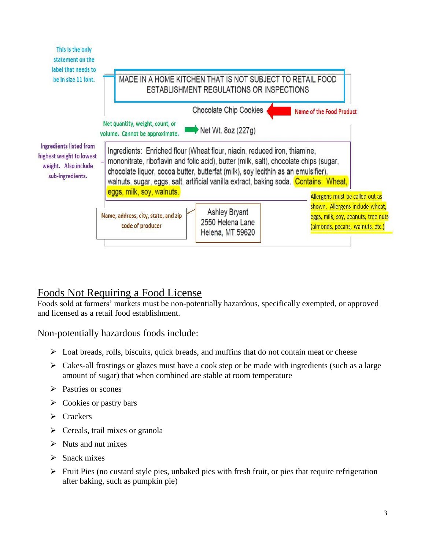| This is the only<br>statement on the<br>label that needs to<br>be in size 11 font.<br>Ingredients listed from<br>highest weight to lowest<br>weight. Also include<br>sub-ingredients. | MADE IN A HOME KITCHEN THAT IS NOT SUBJECT TO RETAIL FOOD<br>ESTABLISHMENT REGULATIONS OR INSPECTIONS                                                                                                                                                                                                                                                                         |                                                                                                            |
|---------------------------------------------------------------------------------------------------------------------------------------------------------------------------------------|-------------------------------------------------------------------------------------------------------------------------------------------------------------------------------------------------------------------------------------------------------------------------------------------------------------------------------------------------------------------------------|------------------------------------------------------------------------------------------------------------|
|                                                                                                                                                                                       | <b>Chocolate Chip Cookies</b><br><b>Name of the Food Product</b><br>Net quantity, weight, count, or<br>Net Wt. 8oz (227g)<br>volume. Cannot be approximate.                                                                                                                                                                                                                   |                                                                                                            |
|                                                                                                                                                                                       | Ingredients: Enriched flour (Wheat flour, niacin, reduced iron, thiamine,<br>mononitrate, riboflavin and folic acid), butter (milk, salt), chocolate chips (sugar,<br>chocolate liquor, cocoa butter, butterfat (milk), soy lecithin as an emulsifier),<br>walnuts, sugar, eggs, salt, artificial vanilla extract, baking soda. Contains: Wheat,<br>eggs, milk, soy, walnuts. | Allergens must be called out as                                                                            |
|                                                                                                                                                                                       | <b>Ashley Bryant</b><br>Name, address, city, state, and zip<br>2550 Helena Lane<br>code of producer<br>Helena, MT 59620                                                                                                                                                                                                                                                       | shown. Allergens include wheat,<br>eggs, milk, soy, peanuts, tree nuts<br>(almonds, pecans, walnuts, etc.) |

# <span id="page-2-0"></span>Foods Not Requiring a Food License

Foods sold at farmers' markets must be non-potentially hazardous, specifically exempted, or approved and licensed as a retail food establishment.

Non-potentially hazardous foods include:

- $\triangleright$  Loaf breads, rolls, biscuits, quick breads, and muffins that do not contain meat or cheese
- $\triangleright$  Cakes-all frostings or glazes must have a cook step or be made with ingredients (such as a large amount of sugar) that when combined are stable at room temperature
- **Pastries or scones**
- $\triangleright$  Cookies or pastry bars
- > Crackers
- $\triangleright$  Cereals, trail mixes or granola
- $\triangleright$  Nuts and nut mixes
- $\triangleright$  Snack mixes
- $\triangleright$  Fruit Pies (no custard style pies, unbaked pies with fresh fruit, or pies that require refrigeration after baking, such as pumpkin pie)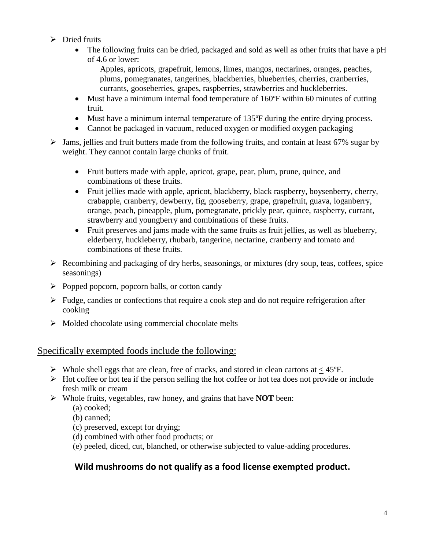- $\triangleright$  Dried fruits
	- The following fruits can be dried, packaged and sold as well as other fruits that have a pH of 4.6 or lower:

Apples, apricots, grapefruit, lemons, limes, mangos, nectarines, oranges, peaches, plums, pomegranates, tangerines, blackberries, blueberries, cherries, cranberries, currants, gooseberries, grapes, raspberries, strawberries and huckleberries.

- Must have a minimum internal food temperature of 160ºF within 60 minutes of cutting fruit.
- Must have a minimum internal temperature of 135ºF during the entire drying process.
- Cannot be packaged in vacuum, reduced oxygen or modified oxygen packaging
- $\triangleright$  Jams, jellies and fruit butters made from the following fruits, and contain at least 67% sugar by weight. They cannot contain large chunks of fruit.
	- Fruit butters made with apple, apricot, grape, pear, plum, prune, quince, and combinations of these fruits.
	- Fruit jellies made with apple, apricot, blackberry, black raspberry, boysenberry, cherry, crabapple, cranberry, dewberry, fig, gooseberry, grape, grapefruit, guava, loganberry, orange, peach, pineapple, plum, pomegranate, prickly pear, quince, raspberry, currant, strawberry and youngberry and combinations of these fruits.
	- Fruit preserves and jams made with the same fruits as fruit jellies, as well as blueberry, elderberry, huckleberry, rhubarb, tangerine, nectarine, cranberry and tomato and combinations of these fruits.
- $\triangleright$  Recombining and packaging of dry herbs, seasonings, or mixtures (dry soup, teas, coffees, spice seasonings)
- $\triangleright$  Popped popcorn, popcorn balls, or cotton candy
- $\triangleright$  Fudge, candies or confections that require a cook step and do not require refrigeration after cooking
- $\triangleright$  Molded chocolate using commercial chocolate melts

#### <span id="page-3-0"></span>Specifically exempted foods include the following:

- $\triangleright$  Whole shell eggs that are clean, free of cracks, and stored in clean cartons at  $\lt 45^{\circ}$ F.
- $\triangleright$  Hot coffee or hot tea if the person selling the hot coffee or hot tea does not provide or include fresh milk or cream
- Whole fruits, vegetables, raw honey, and grains that have **NOT** been:
	- (a) cooked;
	- (b) canned;
	- (c) preserved, except for drying;
	- (d) combined with other food products; or
	- (e) peeled, diced, cut, blanched, or otherwise subjected to value-adding procedures.

#### **Wild mushrooms do not qualify as a food license exempted product.**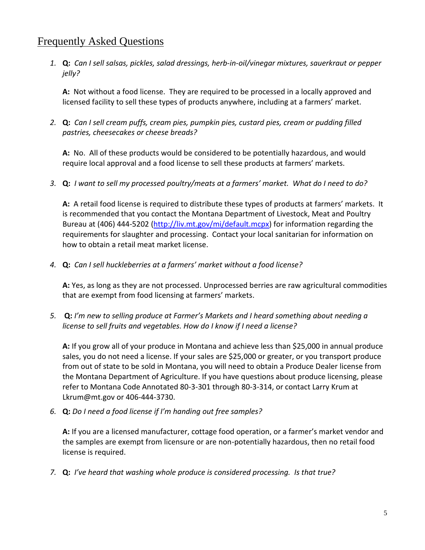## <span id="page-4-0"></span>Frequently Asked Questions

*1.* **Q:** *Can I sell salsas, pickles, salad dressings, herb-in-oil/vinegar mixtures, sauerkraut or pepper jelly?*

**A:** Not without a food license. They are required to be processed in a locally approved and licensed facility to sell these types of products anywhere, including at a farmers' market.

*2.* **Q:** *Can I sell cream puffs, cream pies, pumpkin pies, custard pies, cream or pudding filled pastries, cheesecakes or cheese breads?*

**A:** No. All of these products would be considered to be potentially hazardous, and would require local approval and a food license to sell these products at farmers' markets.

*3.* **Q:** *I want to sell my processed poultry/meats at a farmers' market. What do I need to do?*

**A:** A retail food license is required to distribute these types of products at farmers' markets. It is recommended that you contact the Montana Department of Livestock, Meat and Poultry Bureau at (406) 444-5202 [\(http://liv.mt.gov/mi/default.mcpx\)](http://liv.mt.gov/mi/default.mcpx) for information regarding the requirements for slaughter and processing. Contact your local sanitarian for information on how to obtain a retail meat market license.

*4.* **Q:** *Can I sell huckleberries at a farmers' market without a food license?* 

**A:** Yes, as long as they are not processed. Unprocessed berries are raw agricultural commodities that are exempt from food licensing at farmers' markets.

*5.* **Q:** *I'm new to selling produce at Farmer's Markets and I heard something about needing a license to sell fruits and vegetables. How do I know if I need a license?*

**A:** If you grow all of your produce in Montana and achieve less than \$25,000 in annual produce sales, you do not need a license. If your sales are \$25,000 or greater, or you transport produce from out of state to be sold in Montana, you will need to obtain a Produce Dealer license from the Montana Department of Agriculture. If you have questions about produce licensing, please refer to Montana Code Annotated 80-3-301 through 80-3-314, or contact Larry Krum at Lkrum@mt.gov or 406-444-3730.

*6.* **Q:** *Do I need a food license if I'm handing out free samples?*

**A:** If you are a licensed manufacturer, cottage food operation, or a farmer's market vendor and the samples are exempt from licensure or are non-potentially hazardous, then no retail food license is required.

*7.* **Q:** *I've heard that washing whole produce is considered processing. Is that true?*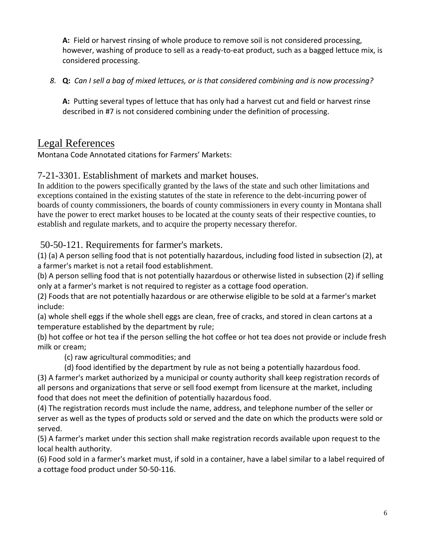**A:** Field or harvest rinsing of whole produce to remove soil is not considered processing, however, washing of produce to sell as a ready-to-eat product, such as a bagged lettuce mix, is considered processing.

*8.* **Q:** *Can I sell a bag of mixed lettuces, or is that considered combining and is now processing?*

**A:** Putting several types of lettuce that has only had a harvest cut and field or harvest rinse described in #7 is not considered combining under the definition of processing.

## <span id="page-5-0"></span>Legal References

Montana Code Annotated citations for Farmers' Markets:

#### <span id="page-5-1"></span>7-21-3301. Establishment of markets and market houses.

In addition to the powers specifically granted by the laws of the state and such other limitations and exceptions contained in the existing statutes of the state in reference to the debt-incurring power of boards of county commissioners, the boards of county commissioners in every county in Montana shall have the power to erect market houses to be located at the county seats of their respective counties, to establish and regulate markets, and to acquire the property necessary therefor.

#### <span id="page-5-2"></span>50-50-121. Requirements for farmer's markets.

(1) (a) A person selling food that is not potentially hazardous, including food listed in subsection (2), at a farmer's market is not a retail food establishment.

(b) A person selling food that is not potentially hazardous or otherwise listed in subsection (2) if selling only at a farmer's market is not required to register as a cottage food operation.

(2) Foods that are not potentially hazardous or are otherwise eligible to be sold at a farmer's market include:

(a) whole shell eggs if the whole shell eggs are clean, free of cracks, and stored in clean cartons at a temperature established by the department by rule;

(b) hot coffee or hot tea if the person selling the hot coffee or hot tea does not provide or include fresh milk or cream;

(c) raw agricultural commodities; and

 (d) food identified by the department by rule as not being a potentially hazardous food. (3) A farmer's market authorized by a municipal or county authority shall keep registration records of all persons and organizations that serve or sell food exempt from licensure at the market, including

food that does not meet the definition of potentially hazardous food.

(4) The registration records must include the name, address, and telephone number of the seller or server as well as the types of products sold or served and the date on which the products were sold or served.

(5) A farmer's market under this section shall make registration records available upon request to the local health authority.

(6) Food sold in a farmer's market must, if sold in a container, have a label similar to a label required of a cottage food product under 50-50-116.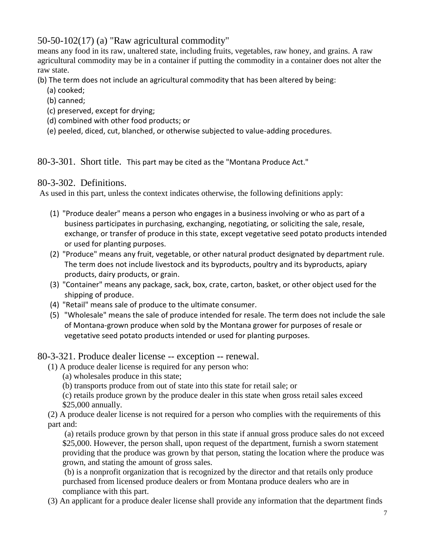<span id="page-6-0"></span>50-50-102(17) (a) "Raw agricultural commodity"

means any food in its raw, unaltered state, including fruits, vegetables, raw honey, and grains. A raw agricultural commodity may be in a container if putting the commodity in a container does not alter the raw state.

(b) The term does not include an agricultural commodity that has been altered by being:

- (a) cooked;
- (b) canned;
- (c) preserved, except for drying;
- (d) combined with other food products; or
- (e) peeled, diced, cut, blanched, or otherwise subjected to value-adding procedures.

<span id="page-6-1"></span>80-3-301. Short title. This part may be cited as the "Montana Produce Act."

#### <span id="page-6-2"></span>80-3-302. Definitions.

As used in this part, unless the context indicates otherwise, the following definitions apply:

- (1) "Produce dealer" means a person who engages in a business involving or who as part of a business participates in purchasing, exchanging, negotiating, or soliciting the sale, resale, exchange, or transfer of produce in this state, except vegetative seed potato products intended or used for planting purposes.
- (2) "Produce" means any fruit, vegetable, or other natural product designated by department rule. The term does not include livestock and its byproducts, poultry and its byproducts, apiary products, dairy products, or grain.
- (3) "Container" means any package, sack, box, crate, carton, basket, or other object used for the shipping of produce.
- (4) "Retail" means sale of produce to the ultimate consumer.
- (5) "Wholesale" means the sale of produce intended for resale. The term does not include the sale of Montana-grown produce when sold by the Montana grower for purposes of resale or vegetative seed potato products intended or used for planting purposes.

#### 80-3-321. Produce dealer license -- exception -- renewal.

(1) A produce dealer license is required for any person who:

- (a) wholesales produce in this state;
- (b) transports produce from out of state into this state for retail sale; or

(c) retails produce grown by the produce dealer in this state when gross retail sales exceed \$25,000 annually.

(2) A produce dealer license is not required for a person who complies with the requirements of this part and:

(a) retails produce grown by that person in this state if annual gross produce sales do not exceed \$25,000. However, the person shall, upon request of the department, furnish a sworn statement providing that the produce was grown by that person, stating the location where the produce was grown, and stating the amount of gross sales.

(b) is a nonprofit organization that is recognized by the director and that retails only produce purchased from licensed produce dealers or from Montana produce dealers who are in compliance with this part.

(3) An applicant for a produce dealer license shall provide any information that the department finds